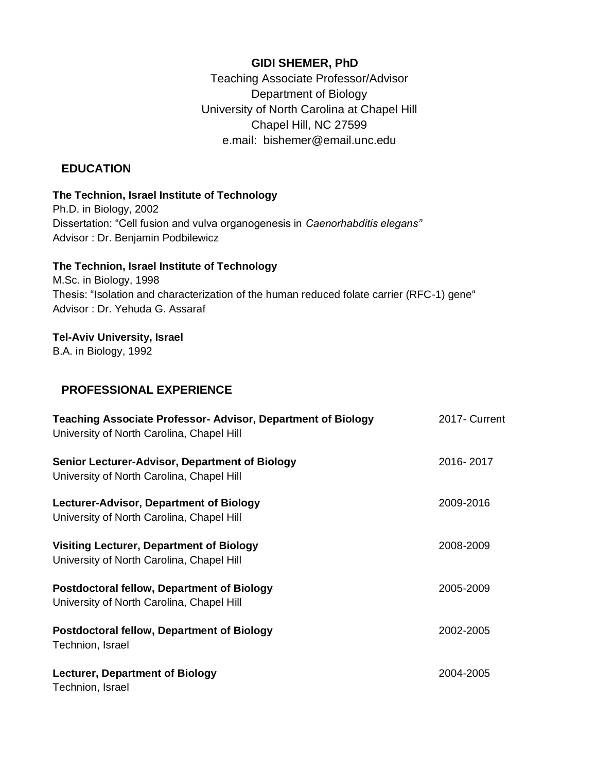### **GIDI SHEMER, PhD**

Teaching Associate Professor/Advisor Department of Biology University of North Carolina at Chapel Hill Chapel Hill, NC 27599 e.mail: [bishemer@email.unc.edu](mailto:bishemer@email.unc.edu)

### **EDUCATION**

### **The Technion, Israel Institute of Technology**

Ph.D. in Biology, 2002 Dissertation: "Cell fusion and vulva organogenesis in *Caenorhabditis elegans"* Advisor : Dr. Benjamin Podbilewicz

### **The Technion, Israel Institute of Technology**

M.Sc. in Biology, 1998 Thesis: "Isolation and characterization of the human reduced folate carrier (RFC-1) gene" Advisor : Dr. Yehuda G. Assaraf

### **Tel-Aviv University, Israel**

B.A. in Biology, 1992

## **PROFESSIONAL EXPERIENCE**

| <b>Teaching Associate Professor- Advisor, Department of Biology</b><br>University of North Carolina, Chapel Hill | 2017- Current |
|------------------------------------------------------------------------------------------------------------------|---------------|
| <b>Senior Lecturer-Advisor, Department of Biology</b><br>University of North Carolina, Chapel Hill               | 2016-2017     |
| Lecturer-Advisor, Department of Biology<br>University of North Carolina, Chapel Hill                             | 2009-2016     |
| <b>Visiting Lecturer, Department of Biology</b><br>University of North Carolina, Chapel Hill                     | 2008-2009     |
| <b>Postdoctoral fellow, Department of Biology</b><br>University of North Carolina, Chapel Hill                   | 2005-2009     |
| <b>Postdoctoral fellow, Department of Biology</b><br>Technion, Israel                                            | 2002-2005     |
| <b>Lecturer, Department of Biology</b><br>Technion, Israel                                                       | 2004-2005     |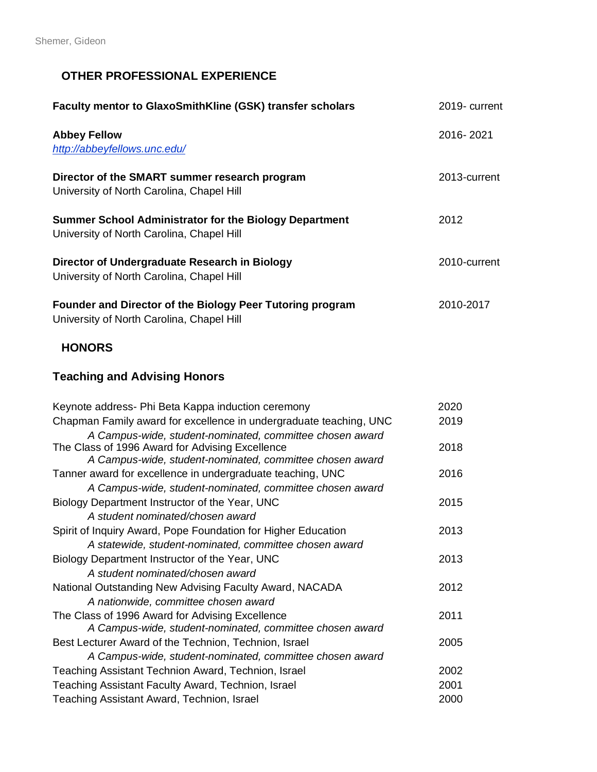## **OTHER PROFESSIONAL EXPERIENCE**

| Faculty mentor to GlaxoSmithKline (GSK) transfer scholars                                                  | 2019- current |
|------------------------------------------------------------------------------------------------------------|---------------|
| <b>Abbey Fellow</b><br>http://abbeyfellows.unc.edu/                                                        | 2016-2021     |
| Director of the SMART summer research program<br>University of North Carolina, Chapel Hill                 | 2013-current  |
| <b>Summer School Administrator for the Biology Department</b><br>University of North Carolina, Chapel Hill | 2012          |
| Director of Undergraduate Research in Biology<br>University of North Carolina, Chapel Hill                 | 2010-current  |
| Founder and Director of the Biology Peer Tutoring program<br>University of North Carolina, Chapel Hill     | 2010-2017     |

## **HONORS**

## **Teaching and Advising Honors**

| Keynote address- Phi Beta Kappa induction ceremony                 | 2020 |
|--------------------------------------------------------------------|------|
| Chapman Family award for excellence in undergraduate teaching, UNC | 2019 |
| A Campus-wide, student-nominated, committee chosen award           |      |
| The Class of 1996 Award for Advising Excellence                    | 2018 |
| A Campus-wide, student-nominated, committee chosen award           |      |
| Tanner award for excellence in undergraduate teaching, UNC         | 2016 |
| A Campus-wide, student-nominated, committee chosen award           |      |
| Biology Department Instructor of the Year, UNC                     | 2015 |
| A student nominated/chosen award                                   |      |
| Spirit of Inquiry Award, Pope Foundation for Higher Education      | 2013 |
| A statewide, student-nominated, committee chosen award             |      |
| Biology Department Instructor of the Year, UNC                     | 2013 |
| A student nominated/chosen award                                   |      |
| National Outstanding New Advising Faculty Award, NACADA            | 2012 |
| A nationwide, committee chosen award                               |      |
| The Class of 1996 Award for Advising Excellence                    | 2011 |
| A Campus-wide, student-nominated, committee chosen award           |      |
| Best Lecturer Award of the Technion, Technion, Israel              | 2005 |
| A Campus-wide, student-nominated, committee chosen award           |      |
| Teaching Assistant Technion Award, Technion, Israel                | 2002 |
| Teaching Assistant Faculty Award, Technion, Israel                 | 2001 |
| Teaching Assistant Award, Technion, Israel                         | 2000 |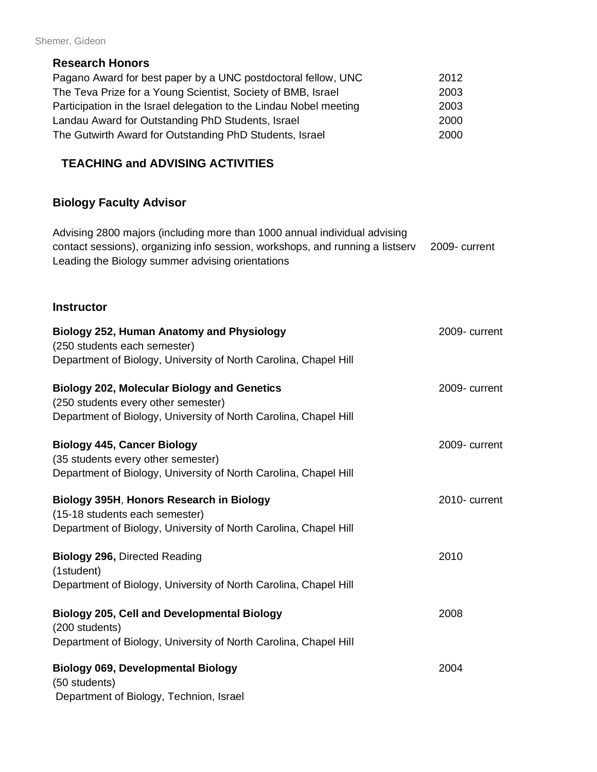### Shemer, Gideon

### **Research Honors**

| Pagano Award for best paper by a UNC postdoctoral fellow, UNC      | 2012 |
|--------------------------------------------------------------------|------|
| The Teva Prize for a Young Scientist, Society of BMB, Israel       | 2003 |
| Participation in the Israel delegation to the Lindau Nobel meeting | 2003 |
| Landau Award for Outstanding PhD Students, Israel                  | 2000 |
| The Gutwirth Award for Outstanding PhD Students, Israel            | 2000 |

## **TEACHING and ADVISING ACTIVITIES**

# **Biology Faculty Advisor**

| Advising 2800 majors (including more than 1000 annual individual advising<br>contact sessions), organizing info session, workshops, and running a listserv<br>Leading the Biology summer advising orientations | 2009-current  |
|----------------------------------------------------------------------------------------------------------------------------------------------------------------------------------------------------------------|---------------|
| <b>Instructor</b>                                                                                                                                                                                              |               |
| <b>Biology 252, Human Anatomy and Physiology</b>                                                                                                                                                               | 2009-current  |
| (250 students each semester)                                                                                                                                                                                   |               |
| Department of Biology, University of North Carolina, Chapel Hill                                                                                                                                               |               |
| <b>Biology 202, Molecular Biology and Genetics</b>                                                                                                                                                             | 2009- current |
| (250 students every other semester)                                                                                                                                                                            |               |
| Department of Biology, University of North Carolina, Chapel Hill                                                                                                                                               |               |
| <b>Biology 445, Cancer Biology</b>                                                                                                                                                                             | 2009- current |
| (35 students every other semester)                                                                                                                                                                             |               |
| Department of Biology, University of North Carolina, Chapel Hill                                                                                                                                               |               |
| Biology 395H, Honors Research in Biology                                                                                                                                                                       | 2010-current  |
| (15-18 students each semester)                                                                                                                                                                                 |               |
| Department of Biology, University of North Carolina, Chapel Hill                                                                                                                                               |               |
| <b>Biology 296, Directed Reading</b>                                                                                                                                                                           | 2010          |
| (1student)                                                                                                                                                                                                     |               |
| Department of Biology, University of North Carolina, Chapel Hill                                                                                                                                               |               |
| <b>Biology 205, Cell and Developmental Biology</b>                                                                                                                                                             | 2008          |
| (200 students)                                                                                                                                                                                                 |               |
| Department of Biology, University of North Carolina, Chapel Hill                                                                                                                                               |               |
| <b>Biology 069, Developmental Biology</b>                                                                                                                                                                      | 2004          |
| (50 students)                                                                                                                                                                                                  |               |
| Department of Biology, Technion, Israel                                                                                                                                                                        |               |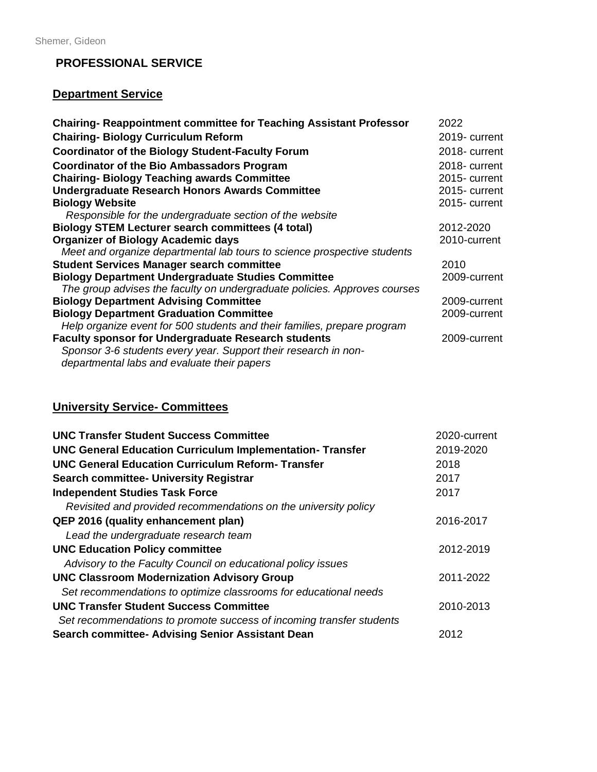### **PROFESSIONAL SERVICE**

# **Department Service**

| <b>Chairing- Reappointment committee for Teaching Assistant Professor</b> | 2022          |
|---------------------------------------------------------------------------|---------------|
| <b>Chairing-Biology Curriculum Reform</b>                                 | 2019- current |
| <b>Coordinator of the Biology Student-Faculty Forum</b>                   | 2018- current |
| <b>Coordinator of the Bio Ambassadors Program</b>                         | 2018-current  |
| <b>Chairing-Biology Teaching awards Committee</b>                         | 2015-current  |
| <b>Undergraduate Research Honors Awards Committee</b>                     | 2015-current  |
| <b>Biology Website</b>                                                    | 2015-current  |
| Responsible for the undergraduate section of the website                  |               |
| <b>Biology STEM Lecturer search committees (4 total)</b>                  | 2012-2020     |
| <b>Organizer of Biology Academic days</b>                                 | 2010-current  |
| Meet and organize departmental lab tours to science prospective students  |               |
| <b>Student Services Manager search committee</b>                          | 2010          |
| <b>Biology Department Undergraduate Studies Committee</b>                 | 2009-current  |
| The group advises the faculty on undergraduate policies. Approves courses |               |
| <b>Biology Department Advising Committee</b>                              | 2009-current  |
| <b>Biology Department Graduation Committee</b>                            | 2009-current  |
| Help organize event for 500 students and their families, prepare program  |               |
| <b>Faculty sponsor for Undergraduate Research students</b>                | 2009-current  |
| Sponsor 3-6 students every year. Support their research in non-           |               |
| departmental labs and evaluate their papers                               |               |

## **University Service- Committees**

| <b>UNC Transfer Student Success Committee</b>                        | 2020-current |
|----------------------------------------------------------------------|--------------|
| <b>UNC General Education Curriculum Implementation-Transfer</b>      | 2019-2020    |
| <b>UNC General Education Curriculum Reform-Transfer</b>              | 2018         |
| <b>Search committee- University Registrar</b>                        | 2017         |
| <b>Independent Studies Task Force</b>                                | 2017         |
| Revisited and provided recommendations on the university policy      |              |
| <b>QEP 2016 (quality enhancement plan)</b>                           | 2016-2017    |
| Lead the undergraduate research team                                 |              |
| <b>UNC Education Policy committee</b>                                | 2012-2019    |
| Advisory to the Faculty Council on educational policy issues         |              |
| <b>UNC Classroom Modernization Advisory Group</b>                    | 2011-2022    |
| Set recommendations to optimize classrooms for educational needs     |              |
| <b>UNC Transfer Student Success Committee</b>                        | 2010-2013    |
| Set recommendations to promote success of incoming transfer students |              |
| <b>Search committee- Advising Senior Assistant Dean</b>              | 2012         |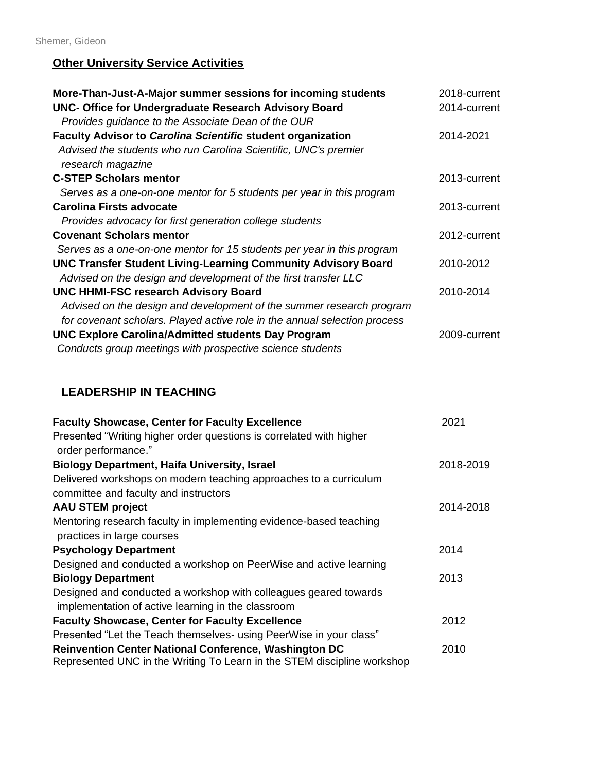## **Other University Service Activities**

| More-Than-Just-A-Major summer sessions for incoming students<br><b>UNC- Office for Undergraduate Research Advisory Board</b><br>Provides guidance to the Associate Dean of the OUR | 2018-current<br>2014-current |
|------------------------------------------------------------------------------------------------------------------------------------------------------------------------------------|------------------------------|
| <b>Faculty Advisor to Carolina Scientific student organization</b>                                                                                                                 | 2014-2021                    |
| Advised the students who run Carolina Scientific, UNC's premier<br>research magazine                                                                                               |                              |
| <b>C-STEP Scholars mentor</b>                                                                                                                                                      | 2013-current                 |
| Serves as a one-on-one mentor for 5 students per year in this program                                                                                                              |                              |
| <b>Carolina Firsts advocate</b>                                                                                                                                                    | 2013-current                 |
| Provides advocacy for first generation college students                                                                                                                            |                              |
| <b>Covenant Scholars mentor</b>                                                                                                                                                    | 2012-current                 |
| Serves as a one-on-one mentor for 15 students per year in this program                                                                                                             |                              |
| <b>UNC Transfer Student Living-Learning Community Advisory Board</b>                                                                                                               | 2010-2012                    |
| Advised on the design and development of the first transfer LLC                                                                                                                    |                              |
| <b>UNC HHMI-FSC research Advisory Board</b>                                                                                                                                        | 2010-2014                    |
| Advised on the design and development of the summer research program<br>for covenant scholars. Played active role in the annual selection process                                  |                              |
|                                                                                                                                                                                    |                              |
| <b>UNC Explore Carolina/Admitted students Day Program</b><br>Conducts group meetings with prospective science students                                                             | 2009-current                 |

## **LEADERSHIP IN TEACHING**

| <b>Faculty Showcase, Center for Faculty Excellence</b>                                                                                  | 2021      |
|-----------------------------------------------------------------------------------------------------------------------------------------|-----------|
| Presented "Writing higher order questions is correlated with higher                                                                     |           |
| order performance."                                                                                                                     |           |
| <b>Biology Department, Haifa University, Israel</b>                                                                                     | 2018-2019 |
| Delivered workshops on modern teaching approaches to a curriculum                                                                       |           |
| committee and faculty and instructors                                                                                                   |           |
| <b>AAU STEM project</b>                                                                                                                 | 2014-2018 |
| Mentoring research faculty in implementing evidence-based teaching                                                                      |           |
| practices in large courses                                                                                                              |           |
| <b>Psychology Department</b>                                                                                                            | 2014      |
| Designed and conducted a workshop on PeerWise and active learning                                                                       |           |
| <b>Biology Department</b>                                                                                                               | 2013      |
| Designed and conducted a workshop with colleagues geared towards                                                                        |           |
| implementation of active learning in the classroom                                                                                      |           |
| <b>Faculty Showcase, Center for Faculty Excellence</b>                                                                                  | 2012      |
| Presented "Let the Teach themselves- using PeerWise in your class"                                                                      |           |
| <b>Reinvention Center National Conference, Washington DC</b><br>Represented UNC in the Writing To Learn in the STEM discipline workshop | 2010      |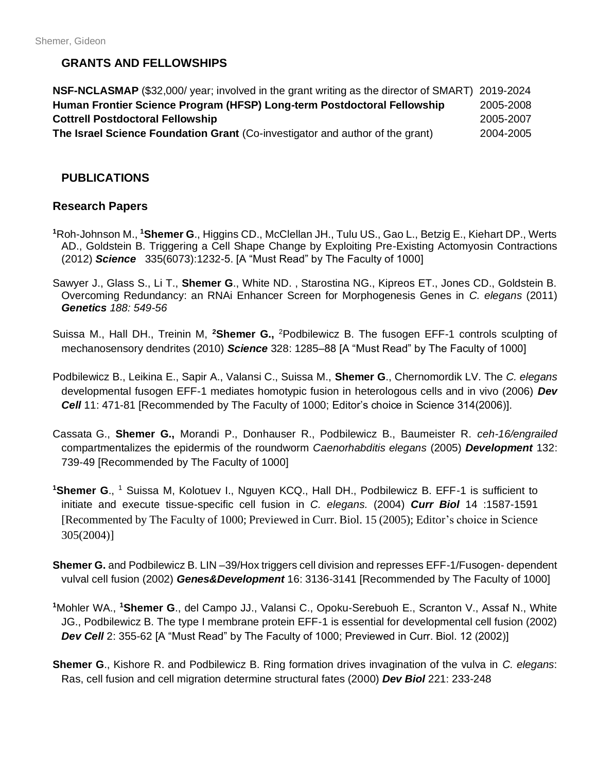## **GRANTS AND FELLOWSHIPS**

| NSF-NCLASMAP (\$32,000/ year; involved in the grant writing as the director of SMART) 2019-2024 |           |
|-------------------------------------------------------------------------------------------------|-----------|
| Human Frontier Science Program (HFSP) Long-term Postdoctoral Fellowship                         | 2005-2008 |
| <b>Cottrell Postdoctoral Fellowship</b>                                                         | 2005-2007 |
| The Israel Science Foundation Grant (Co-investigator and author of the grant)                   | 2004-2005 |

### **PUBLICATIONS**

#### **Research Papers**

- **<sup>1</sup>**Roh-Johnson M., **<sup>1</sup>Shemer G**., Higgins CD., McClellan JH., Tulu US., Gao L., Betzig E., Kiehart DP., Werts AD., Goldstein B. Triggering a Cell Shape Change by Exploiting Pre-Existing Actomyosin Contractions (2012) *Science* 335(6073):1232-5. [A "Must Read" by The Faculty of 1000]
- Sawyer J., Glass S., Li T., **Shemer G**., White ND. , Starostina NG., Kipreos ET., Jones CD., Goldstein B. Overcoming Redundancy: an RNAi Enhancer Screen for Morphogenesis Genes in *C. elegans* (2011) *Genetics 188: 549-56*
- Suissa M., Hall DH., Treinin M, **<sup>2</sup>Shemer G.,** <sup>2</sup>Podbilewicz B. The fusogen EFF-1 controls sculpting of mechanosensory dendrites (2010) *Science* 328: 1285–88 [A "Must Read" by The Faculty of 1000]
- [Podbilewicz B., Leikina E., Sapir A., Valansi C., Suissa M.,](http://www.ncbi.nlm.nih.gov/entrez/query.fcgi?db=pubmed&cmd=Retrieve&dopt=AbstractPlus&list_uids=17011487&query_hl=1&itool=pubmed_docsum) **Shemer G**., Chernomordik LV. The *C. elegans* developmental fusogen EFF-1 mediates homotypic fusion in heterologous cells and in vivo (2006) *Dev Cell* 11: 471-81 [Recommended by The Faculty of 1000; Editor's choice in Science 314(2006)].
- Cassata G., **Shemer G.,** Morandi P., Donhauser R., Podbilewicz B., Baumeister R. *ceh-16/engrailed* compartmentalizes the epidermis of the roundworm *Caenorhabditis elegans* (2005) *Development* 132: 739-49 [Recommended by The Faculty of 1000]
- **<sup>1</sup>Shemer G**., <sup>1</sup> Suissa M, Kolotuev I., Nguyen KCQ., Hall DH., Podbilewicz B. EFF-1 is sufficient to initiate and execute tissue-specific cell fusion in *C. elegans.* (2004) *Curr Biol* 14 :1587-1591 [Recommented by The Faculty of 1000; Previewed in Curr. Biol. 15 (2005); Editor's choice in Science 305(2004)]
- **Shemer G.** and Podbilewicz B. LIN –39/Hox triggers cell division and represses EFF-1/Fusogen- dependent vulval cell fusion (2002) *Genes&Development* 16: 3136-3141 [Recommended by The Faculty of 1000]
- **<sup>1</sup>**Mohler WA., **<sup>1</sup>Shemer G**., del Campo JJ., Valansi C., Opoku-Serebuoh E., Scranton V., Assaf N., White JG., Podbilewicz B. The type I membrane protein EFF-1 is essential for developmental cell fusion (2002) *Dev Cell* 2: 355-62 [A "Must Read" by The Faculty of 1000; Previewed in Curr. Biol. 12 (2002)]
- **Shemer G**., Kishore R. and Podbilewicz B. Ring formation drives invagination of the vulva in *C. elegans*: Ras, cell fusion and cell migration determine structural fates (2000) *Dev Biol* 221: 233-248